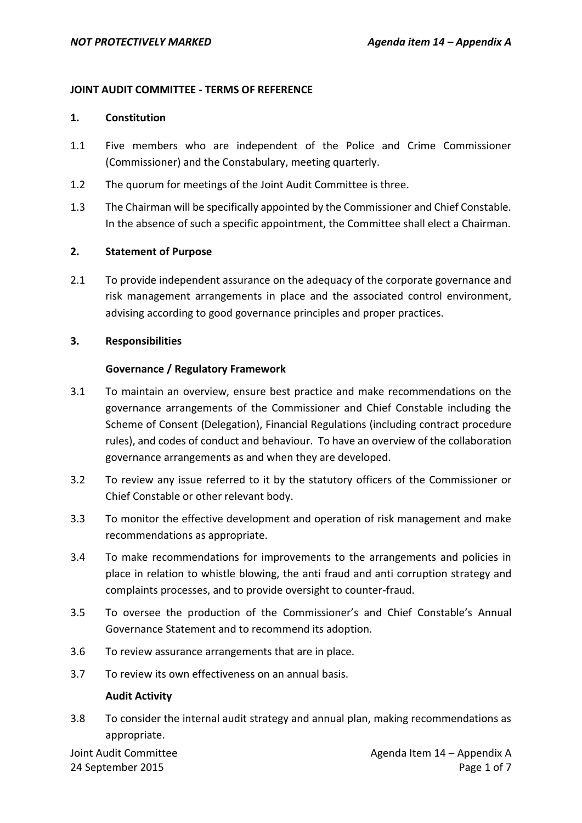### **JOINT AUDIT COMMITTEE - TERMS OF REFERENCE**

#### **1. Constitution**

- 1.1 Five members who are independent of the Police and Crime Commissioner (Commissioner) and the Constabulary, meeting quarterly.
- 1.2 The quorum for meetings of the Joint Audit Committee is three.
- 1.3 The Chairman will be specifically appointed by the Commissioner and Chief Constable. In the absence of such a specific appointment, the Committee shall elect a Chairman.

#### **2. Statement of Purpose**

2.1 To provide independent assurance on the adequacy of the corporate governance and risk management arrangements in place and the associated control environment, advising according to good governance principles and proper practices.

#### **3. Responsibilities**

#### **Governance / Regulatory Framework**

- 3.1 To maintain an overview, ensure best practice and make recommendations on the governance arrangements of the Commissioner and Chief Constable including the Scheme of Consent (Delegation), Financial Regulations (including contract procedure rules), and codes of conduct and behaviour. To have an overview of the collaboration governance arrangements as and when they are developed.
- 3.2 To review any issue referred to it by the statutory officers of the Commissioner or Chief Constable or other relevant body.
- 3.3 To monitor the effective development and operation of risk management and make recommendations as appropriate.
- 3.4 To make recommendations for improvements to the arrangements and policies in place in relation to whistle blowing, the anti fraud and anti corruption strategy and complaints processes, and to provide oversight to counter-fraud.
- 3.5 To oversee the production of the Commissioner's and Chief Constable's Annual Governance Statement and to recommend its adoption.
- 3.6 To review assurance arrangements that are in place.
- 3.7 To review its own effectiveness on an annual basis.

#### **Audit Activity**

3.8 To consider the internal audit strategy and annual plan, making recommendations as appropriate.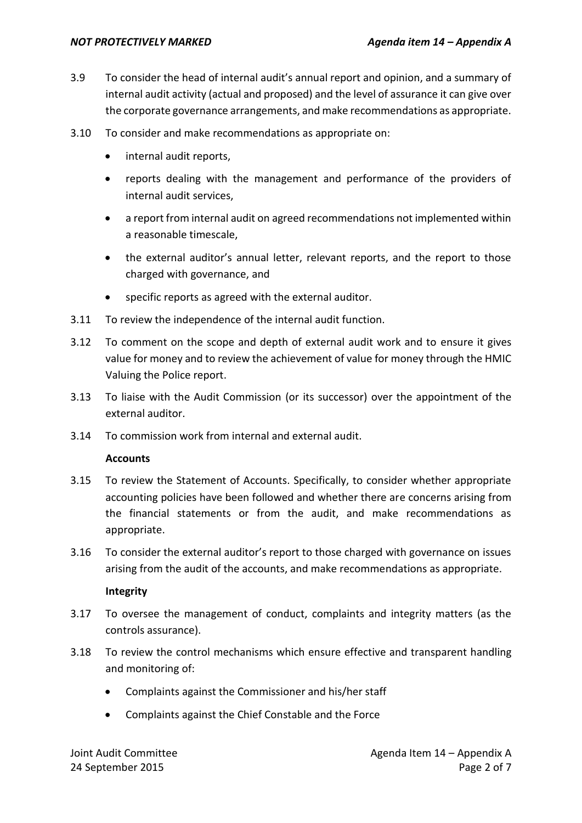- 3.9 To consider the head of internal audit's annual report and opinion, and a summary of internal audit activity (actual and proposed) and the level of assurance it can give over the corporate governance arrangements, and make recommendations as appropriate.
- 3.10 To consider and make recommendations as appropriate on:
	- internal audit reports,
	- reports dealing with the management and performance of the providers of internal audit services,
	- a report from internal audit on agreed recommendations not implemented within a reasonable timescale,
	- the external auditor's annual letter, relevant reports, and the report to those charged with governance, and
	- specific reports as agreed with the external auditor.
- 3.11 To review the independence of the internal audit function.
- 3.12 To comment on the scope and depth of external audit work and to ensure it gives value for money and to review the achievement of value for money through the HMIC Valuing the Police report.
- 3.13 To liaise with the Audit Commission (or its successor) over the appointment of the external auditor.
- 3.14 To commission work from internal and external audit.

#### **Accounts**

- 3.15 To review the Statement of Accounts. Specifically, to consider whether appropriate accounting policies have been followed and whether there are concerns arising from the financial statements or from the audit, and make recommendations as appropriate.
- 3.16 To consider the external auditor's report to those charged with governance on issues arising from the audit of the accounts, and make recommendations as appropriate.

#### **Integrity**

- 3.17 To oversee the management of conduct, complaints and integrity matters (as the controls assurance).
- 3.18 To review the control mechanisms which ensure effective and transparent handling and monitoring of:
	- Complaints against the Commissioner and his/her staff
	- Complaints against the Chief Constable and the Force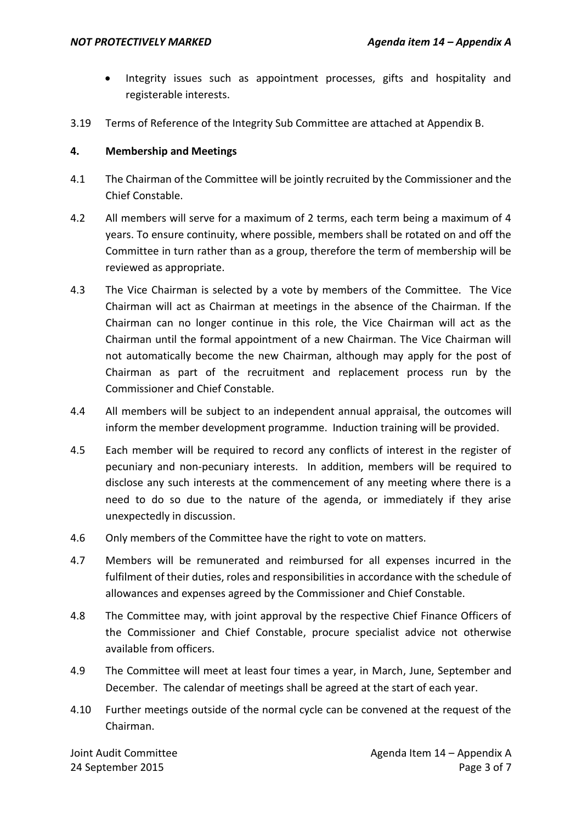- Integrity issues such as appointment processes, gifts and hospitality and registerable interests.
- 3.19 Terms of Reference of the Integrity Sub Committee are attached at Appendix B.

# **4. Membership and Meetings**

- 4.1 The Chairman of the Committee will be jointly recruited by the Commissioner and the Chief Constable.
- 4.2 All members will serve for a maximum of 2 terms, each term being a maximum of 4 years. To ensure continuity, where possible, members shall be rotated on and off the Committee in turn rather than as a group, therefore the term of membership will be reviewed as appropriate.
- 4.3 The Vice Chairman is selected by a vote by members of the Committee. The Vice Chairman will act as Chairman at meetings in the absence of the Chairman. If the Chairman can no longer continue in this role, the Vice Chairman will act as the Chairman until the formal appointment of a new Chairman. The Vice Chairman will not automatically become the new Chairman, although may apply for the post of Chairman as part of the recruitment and replacement process run by the Commissioner and Chief Constable.
- 4.4 All members will be subject to an independent annual appraisal, the outcomes will inform the member development programme. Induction training will be provided.
- 4.5 Each member will be required to record any conflicts of interest in the register of pecuniary and non-pecuniary interests. In addition, members will be required to disclose any such interests at the commencement of any meeting where there is a need to do so due to the nature of the agenda, or immediately if they arise unexpectedly in discussion.
- 4.6 Only members of the Committee have the right to vote on matters.
- 4.7 Members will be remunerated and reimbursed for all expenses incurred in the fulfilment of their duties, roles and responsibilities in accordance with the schedule of allowances and expenses agreed by the Commissioner and Chief Constable.
- 4.8 The Committee may, with joint approval by the respective Chief Finance Officers of the Commissioner and Chief Constable, procure specialist advice not otherwise available from officers.
- 4.9 The Committee will meet at least four times a year, in March, June, September and December. The calendar of meetings shall be agreed at the start of each year.
- 4.10 Further meetings outside of the normal cycle can be convened at the request of the Chairman.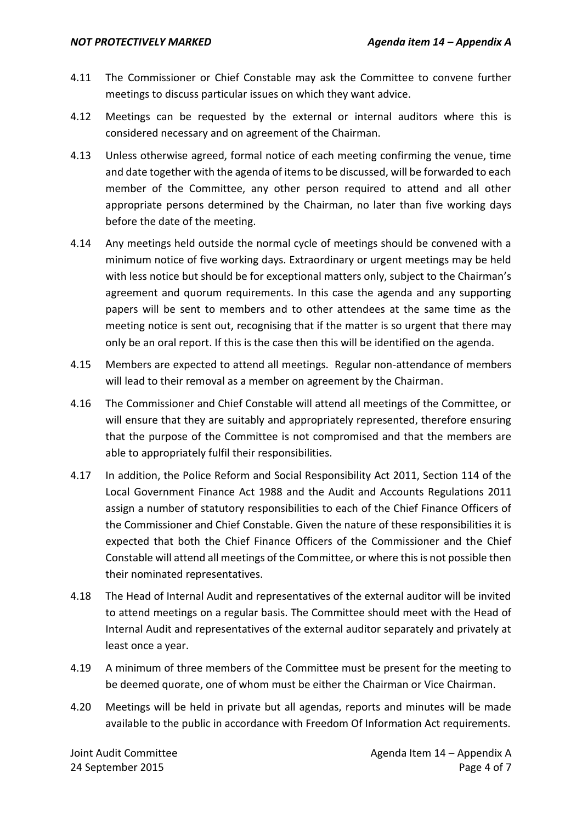- 4.11 The Commissioner or Chief Constable may ask the Committee to convene further meetings to discuss particular issues on which they want advice.
- 4.12 Meetings can be requested by the external or internal auditors where this is considered necessary and on agreement of the Chairman.
- 4.13 Unless otherwise agreed, formal notice of each meeting confirming the venue, time and date together with the agenda of items to be discussed, will be forwarded to each member of the Committee, any other person required to attend and all other appropriate persons determined by the Chairman, no later than five working days before the date of the meeting.
- 4.14 Any meetings held outside the normal cycle of meetings should be convened with a minimum notice of five working days. Extraordinary or urgent meetings may be held with less notice but should be for exceptional matters only, subject to the Chairman's agreement and quorum requirements. In this case the agenda and any supporting papers will be sent to members and to other attendees at the same time as the meeting notice is sent out, recognising that if the matter is so urgent that there may only be an oral report. If this is the case then this will be identified on the agenda.
- 4.15 Members are expected to attend all meetings. Regular non-attendance of members will lead to their removal as a member on agreement by the Chairman.
- 4.16 The Commissioner and Chief Constable will attend all meetings of the Committee, or will ensure that they are suitably and appropriately represented, therefore ensuring that the purpose of the Committee is not compromised and that the members are able to appropriately fulfil their responsibilities.
- 4.17 In addition, the Police Reform and Social Responsibility Act 2011, Section 114 of the Local Government Finance Act 1988 and the Audit and Accounts Regulations 2011 assign a number of statutory responsibilities to each of the Chief Finance Officers of the Commissioner and Chief Constable. Given the nature of these responsibilities it is expected that both the Chief Finance Officers of the Commissioner and the Chief Constable will attend all meetings of the Committee, or where this is not possible then their nominated representatives.
- 4.18 The Head of Internal Audit and representatives of the external auditor will be invited to attend meetings on a regular basis. The Committee should meet with the Head of Internal Audit and representatives of the external auditor separately and privately at least once a year.
- 4.19 A minimum of three members of the Committee must be present for the meeting to be deemed quorate, one of whom must be either the Chairman or Vice Chairman.
- 4.20 Meetings will be held in private but all agendas, reports and minutes will be made available to the public in accordance with Freedom Of Information Act requirements.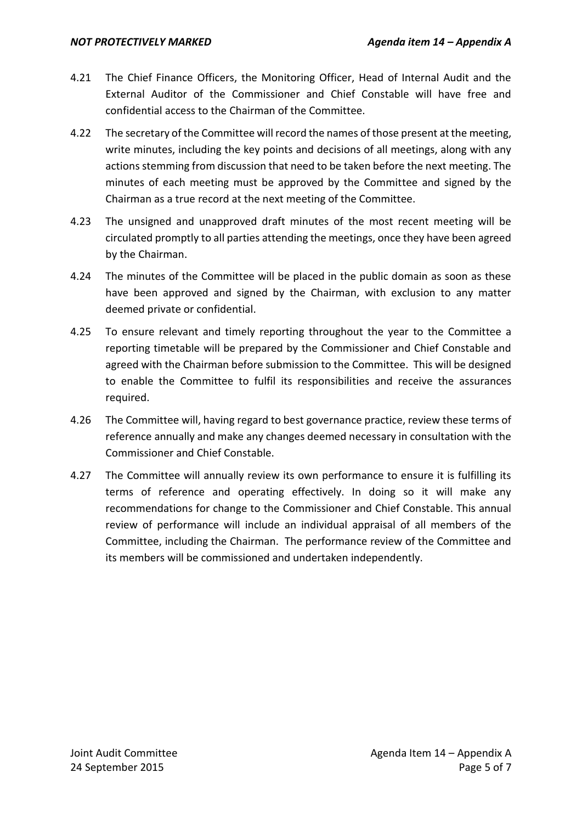- 4.21 The Chief Finance Officers, the Monitoring Officer, Head of Internal Audit and the External Auditor of the Commissioner and Chief Constable will have free and confidential access to the Chairman of the Committee.
- 4.22 The secretary of the Committee will record the names of those present at the meeting, write minutes, including the key points and decisions of all meetings, along with any actions stemming from discussion that need to be taken before the next meeting. The minutes of each meeting must be approved by the Committee and signed by the Chairman as a true record at the next meeting of the Committee.
- 4.23 The unsigned and unapproved draft minutes of the most recent meeting will be circulated promptly to all parties attending the meetings, once they have been agreed by the Chairman.
- 4.24 The minutes of the Committee will be placed in the public domain as soon as these have been approved and signed by the Chairman, with exclusion to any matter deemed private or confidential.
- 4.25 To ensure relevant and timely reporting throughout the year to the Committee a reporting timetable will be prepared by the Commissioner and Chief Constable and agreed with the Chairman before submission to the Committee. This will be designed to enable the Committee to fulfil its responsibilities and receive the assurances required.
- 4.26 The Committee will, having regard to best governance practice, review these terms of reference annually and make any changes deemed necessary in consultation with the Commissioner and Chief Constable.
- 4.27 The Committee will annually review its own performance to ensure it is fulfilling its terms of reference and operating effectively. In doing so it will make any recommendations for change to the Commissioner and Chief Constable. This annual review of performance will include an individual appraisal of all members of the Committee, including the Chairman. The performance review of the Committee and its members will be commissioned and undertaken independently.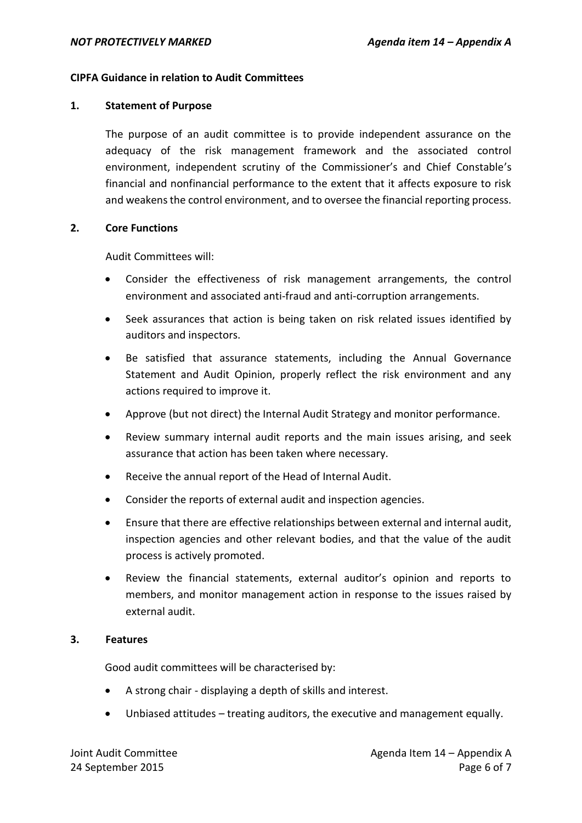## **CIPFA Guidance in relation to Audit Committees**

### **1. Statement of Purpose**

The purpose of an audit committee is to provide independent assurance on the adequacy of the risk management framework and the associated control environment, independent scrutiny of the Commissioner's and Chief Constable's financial and nonfinancial performance to the extent that it affects exposure to risk and weakens the control environment, and to oversee the financial reporting process.

## **2. Core Functions**

Audit Committees will:

- Consider the effectiveness of risk management arrangements, the control environment and associated anti-fraud and anti-corruption arrangements.
- Seek assurances that action is being taken on risk related issues identified by auditors and inspectors.
- Be satisfied that assurance statements, including the Annual Governance Statement and Audit Opinion, properly reflect the risk environment and any actions required to improve it.
- Approve (but not direct) the Internal Audit Strategy and monitor performance.
- Review summary internal audit reports and the main issues arising, and seek assurance that action has been taken where necessary.
- Receive the annual report of the Head of Internal Audit.
- Consider the reports of external audit and inspection agencies.
- Ensure that there are effective relationships between external and internal audit, inspection agencies and other relevant bodies, and that the value of the audit process is actively promoted.
- Review the financial statements, external auditor's opinion and reports to members, and monitor management action in response to the issues raised by external audit.

#### **3. Features**

Good audit committees will be characterised by:

- A strong chair displaying a depth of skills and interest.
- Unbiased attitudes treating auditors, the executive and management equally.